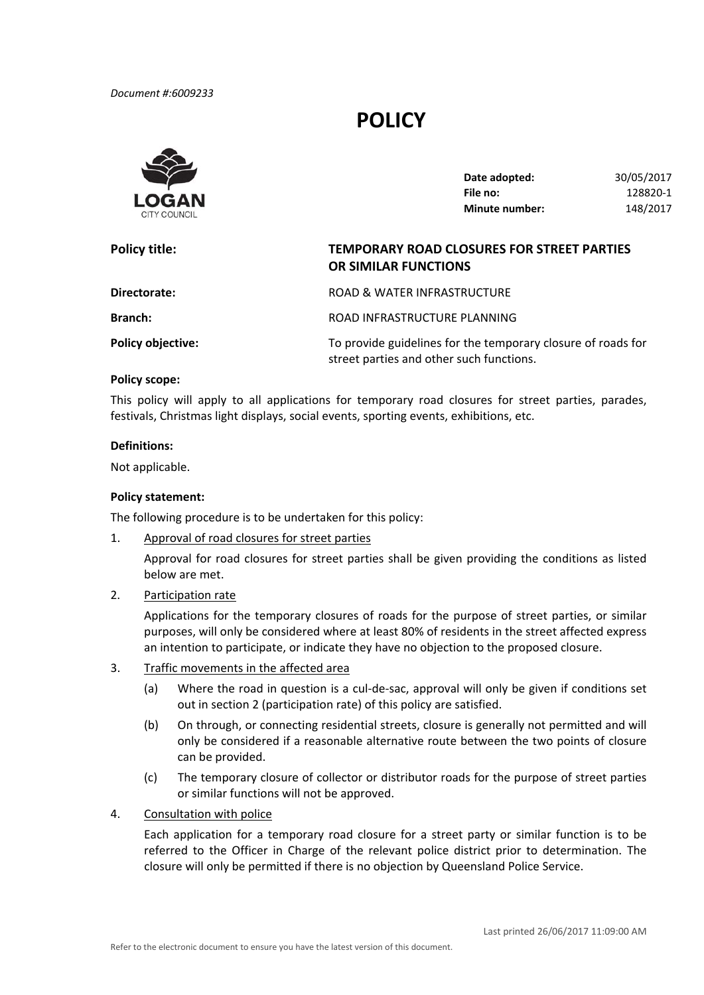*Document #:6009233*

# **POLICY**



**File no: Date adopted:** 30/05/2017 **File no:** 128820‐1 **Minute number:** 148/2017

## **Policy title: Directorate:** Material Material ROAD & WATER INFRASTRUCTURE **Branch:** ROAD INFRASTRUCTURE PLANNING **Policy objective: Policy title: TEMPORARY ROAD CLOSURES FOR STREET PARTIES OR SIMILAR FUNCTIONS** To provide guidelines for the temporary closure of roads for street parties and other such functions.

## **Policy scope:**

 This policy will apply to all applications for temporary road closures for street parties, parades, festivals, Christmas light displays, social events, sporting events, exhibitions, etc.

#### **Definitions:**

Not applicable.

#### **Policy statement:**

The following procedure is to be undertaken for this policy:

1. Approval of road closures for street parties

Approval for road closures for street parties shall be given providing the conditions as listed below are met.

2. Participation rate

Applications for the temporary closures of roads for the purpose of street parties, or similar purposes, will only be considered where at least 80% of residents in the street affected express an intention to participate, or indicate they have no objection to the proposed closure.

- 3. Traffic movements in the affected area
	- (a) Where the road in question is a cul‐de‐sac, approval will only be given if conditions set out in section 2 (participation rate) of this policy are satisfied.
	- (b) On through, or connecting residential streets, closure is generally not permitted and will only be considered if a reasonable alternative route between the two points of closure can be provided.
	- (c) The temporary closure of collector or distributor roads for the purpose of street parties or similar functions will not be approved.
- 4. Consultation with police

Each application for a temporary road closure for a street party or similar function is to be referred to the Officer in Charge of the relevant police district prior to determination. The closure will only be permitted if there is no objection by Queensland Police Service.